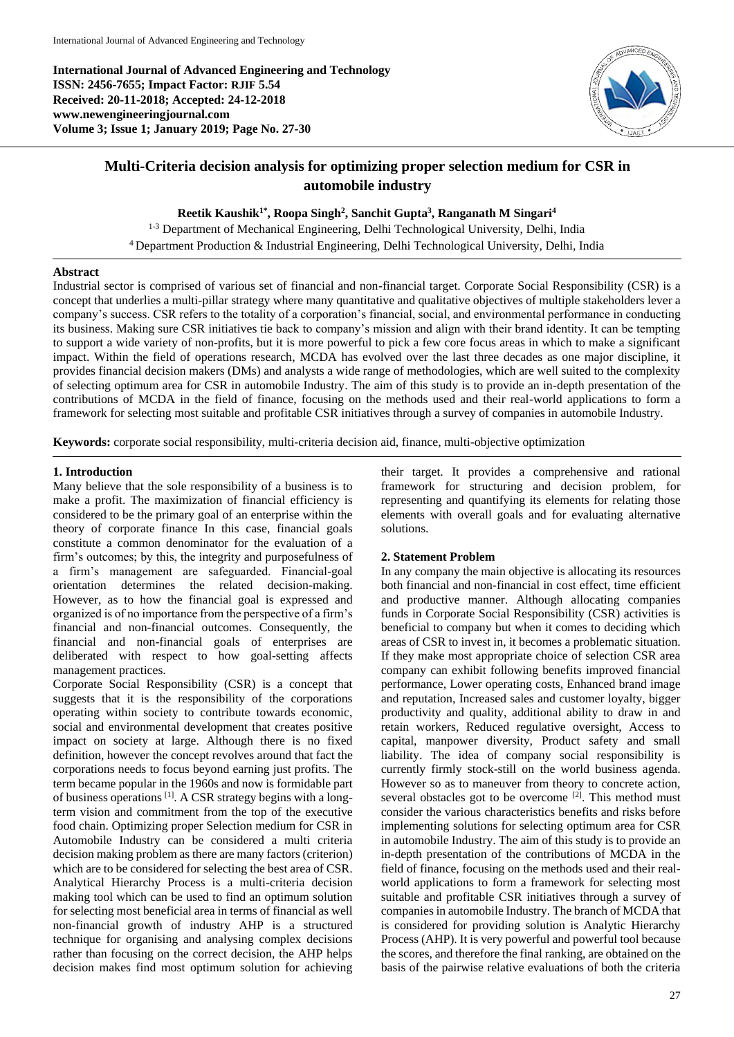**International Journal of Advanced Engineering and Technology ISSN: 2456-7655; Impact Factor: RJIF 5.54 Received: 20-11-2018; Accepted: 24-12-2018 www.newengineeringjournal.com Volume 3; Issue 1; January 2019; Page No. 27-30**



# **Multi-Criteria decision analysis for optimizing proper selection medium for CSR in automobile industry**

**Reetik Kaushik1\* , Roopa Singh<sup>2</sup> , Sanchit Gupta<sup>3</sup> , Ranganath M Singari<sup>4</sup>**

<sup>1-3</sup> Department of Mechanical Engineering, Delhi Technological University, Delhi, India <sup>4</sup> Department Production & Industrial Engineering, Delhi Technological University, Delhi, India

### **Abstract**

Industrial sector is comprised of various set of financial and non-financial target. Corporate Social Responsibility (CSR) is a concept that underlies a multi-pillar strategy where many quantitative and qualitative objectives of multiple stakeholders lever a company's success. CSR refers to the totality of a corporation's financial, social, and environmental performance in conducting its business. Making sure CSR initiatives tie back to company's mission and align with their brand identity. It can be tempting to support a wide variety of non-profits, but it is more powerful to pick a few core focus areas in which to make a significant impact. Within the field of operations research, MCDA has evolved over the last three decades as one major discipline, it provides financial decision makers (DMs) and analysts a wide range of methodologies, which are well suited to the complexity of selecting optimum area for CSR in automobile Industry. The aim of this study is to provide an in-depth presentation of the contributions of MCDA in the field of finance, focusing on the methods used and their real-world applications to form a framework for selecting most suitable and profitable CSR initiatives through a survey of companies in automobile Industry.

**Keywords:** corporate social responsibility, multi-criteria decision aid, finance, multi-objective optimization

### **1. Introduction**

Many believe that the sole responsibility of a business is to make a profit. The maximization of financial efficiency is considered to be the primary goal of an enterprise within the theory of corporate finance In this case, financial goals constitute a common denominator for the evaluation of a firm's outcomes; by this, the integrity and purposefulness of a firm's management are safeguarded. Financial-goal orientation determines the related decision-making. However, as to how the financial goal is expressed and organized is of no importance from the perspective of a firm's financial and non-financial outcomes. Consequently, the financial and non-financial goals of enterprises are deliberated with respect to how goal-setting affects management practices.

Corporate Social Responsibility (CSR) is a concept that suggests that it is the responsibility of the corporations operating within society to contribute towards economic, social and environmental development that creates positive impact on society at large. Although there is no fixed definition, however the concept revolves around that fact the corporations needs to focus beyond earning just profits. The term became popular in the 1960s and now is formidable part of business operations <sup>[1]</sup>. A CSR strategy begins with a longterm vision and commitment from the top of the executive food chain. Optimizing proper Selection medium for CSR in Automobile Industry can be considered a multi criteria decision making problem as there are many factors (criterion) which are to be considered for selecting the best area of CSR. Analytical Hierarchy Process is a multi-criteria decision making tool which can be used to find an optimum solution for selecting most beneficial area in terms of financial as well non-financial growth of industry AHP is a structured technique for organising and analysing complex decisions rather than focusing on the correct decision, the AHP helps decision makes find most optimum solution for achieving

their target. It provides a comprehensive and rational framework for structuring and decision problem, for representing and quantifying its elements for relating those elements with overall goals and for evaluating alternative solutions.

### **2. Statement Problem**

In any company the main objective is allocating its resources both financial and non-financial in cost effect, time efficient and productive manner. Although allocating companies funds in Corporate Social Responsibility (CSR) activities is beneficial to company but when it comes to deciding which areas of CSR to invest in, it becomes a problematic situation. If they make most appropriate choice of selection CSR area company can exhibit following benefits improved financial performance, Lower operating costs, Enhanced brand image and reputation, Increased sales and customer loyalty, bigger productivity and quality, additional ability to draw in and retain workers, Reduced regulative oversight, Access to capital, manpower diversity, Product safety and small liability. The idea of company social responsibility is currently firmly stock-still on the world business agenda. However so as to maneuver from theory to concrete action, several obstacles got to be overcome  $[2]$ . This method must consider the various characteristics benefits and risks before implementing solutions for selecting optimum area for CSR in automobile Industry. The aim of this study is to provide an in-depth presentation of the contributions of MCDA in the field of finance, focusing on the methods used and their realworld applications to form a framework for selecting most suitable and profitable CSR initiatives through a survey of companies in automobile Industry. The branch of MCDA that is considered for providing solution is Analytic Hierarchy Process (AHP). It is very powerful and powerful tool because the scores, and therefore the final ranking, are obtained on the basis of the pairwise relative evaluations of both the criteria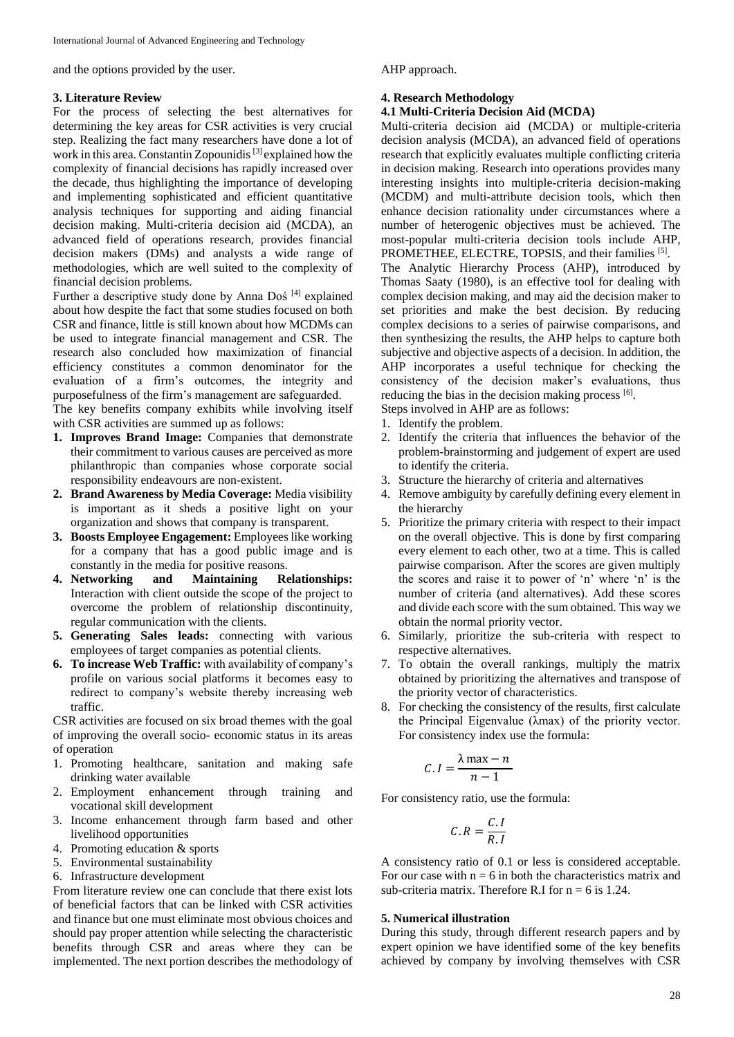and the options provided by the user.

#### **3. Literature Review**

For the process of selecting the best alternatives for determining the key areas for CSR activities is very crucial step. Realizing the fact many researchers have done a lot of work in this area. Constantin Zopounidis [3] explained how the complexity of financial decisions has rapidly increased over the decade, thus highlighting the importance of developing and implementing sophisticated and efficient quantitative analysis techniques for supporting and aiding financial decision making. Multi-criteria decision aid (MCDA), an advanced field of operations research, provides financial decision makers (DMs) and analysts a wide range of methodologies, which are well suited to the complexity of financial decision problems.

Further a descriptive study done by Anna Doś [4] explained about how despite the fact that some studies focused on both CSR and finance, little is still known about how MCDMs can be used to integrate financial management and CSR. The research also concluded how maximization of financial efficiency constitutes a common denominator for the evaluation of a firm's outcomes, the integrity and purposefulness of the firm's management are safeguarded.

The key benefits company exhibits while involving itself with CSR activities are summed up as follows:

- **1. Improves Brand Image:** Companies that demonstrate their commitment to various causes are perceived as more philanthropic than companies whose corporate social responsibility endeavours are non-existent.
- **2. Brand Awareness by Media Coverage:** Media visibility is important as it sheds a positive light on your organization and shows that company is transparent.
- **3. Boosts Employee Engagement:** Employees like working for a company that has a good public image and is constantly in the media for positive reasons.
- **4. Networking and Maintaining Relationships:**  Interaction with client outside the scope of the project to overcome the problem of relationship discontinuity, regular communication with the clients.
- **5. Generating Sales leads:** connecting with various employees of target companies as potential clients.
- **6. To increase Web Traffic:** with availability of company's profile on various social platforms it becomes easy to redirect to company's website thereby increasing web traffic.

CSR activities are focused on six broad themes with the goal of improving the overall socio- economic status in its areas of operation

- 1. Promoting healthcare, sanitation and making safe drinking water available
- 2. Employment enhancement through training and vocational skill development
- 3. Income enhancement through farm based and other livelihood opportunities
- 4. Promoting education & sports
- 5. Environmental sustainability
- 6. Infrastructure development

From literature review one can conclude that there exist lots of beneficial factors that can be linked with CSR activities and finance but one must eliminate most obvious choices and should pay proper attention while selecting the characteristic benefits through CSR and areas where they can be implemented. The next portion describes the methodology of AHP approach.

### **4. Research Methodology**

### **4.1 Multi-Criteria Decision Aid (MCDA)**

Multi-criteria decision aid (MCDA) or multiple-criteria decision analysis (MCDA), an advanced field of operations research that explicitly evaluates multiple conflicting criteria in decision making. Research into operations provides many interesting insights into multiple-criteria decision-making (MCDM) and multi-attribute decision tools, which then enhance decision rationality under circumstances where a number of heterogenic objectives must be achieved. The most-popular multi-criteria decision tools include AHP, PROMETHEE, ELECTRE, TOPSIS, and their families [5].

The Analytic Hierarchy Process (AHP), introduced by Thomas Saaty (1980), is an effective tool for dealing with complex decision making, and may aid the decision maker to set priorities and make the best decision. By reducing complex decisions to a series of pairwise comparisons, and then synthesizing the results, the AHP helps to capture both subjective and objective aspects of a decision. In addition, the AHP incorporates a useful technique for checking the consistency of the decision maker's evaluations, thus reducing the bias in the decision making process [6].

Steps involved in AHP are as follows:

- 1. Identify the problem.
- 2. Identify the criteria that influences the behavior of the problem-brainstorming and judgement of expert are used to identify the criteria.
- 3. Structure the hierarchy of criteria and alternatives
- 4. Remove ambiguity by carefully defining every element in the hierarchy
- 5. Prioritize the primary criteria with respect to their impact on the overall objective. This is done by first comparing every element to each other, two at a time. This is called pairwise comparison. After the scores are given multiply the scores and raise it to power of 'n' where 'n' is the number of criteria (and alternatives). Add these scores and divide each score with the sum obtained. This way we obtain the normal priority vector.
- 6. Similarly, prioritize the sub-criteria with respect to respective alternatives.
- 7. To obtain the overall rankings, multiply the matrix obtained by prioritizing the alternatives and transpose of the priority vector of characteristics.
- 8. For checking the consistency of the results, first calculate the Principal Eigenvalue (λmax) of the priority vector. For consistency index use the formula:

$$
C.I = \frac{\lambda \max - n}{n - 1}
$$

For consistency ratio, use the formula:

$$
C.R = \frac{C.I}{R.I}
$$

A consistency ratio of 0.1 or less is considered acceptable. For our case with  $n = 6$  in both the characteristics matrix and sub-criteria matrix. Therefore R.I for  $n = 6$  is 1.24.

#### **5. Numerical illustration**

During this study, through different research papers and by expert opinion we have identified some of the key benefits achieved by company by involving themselves with CSR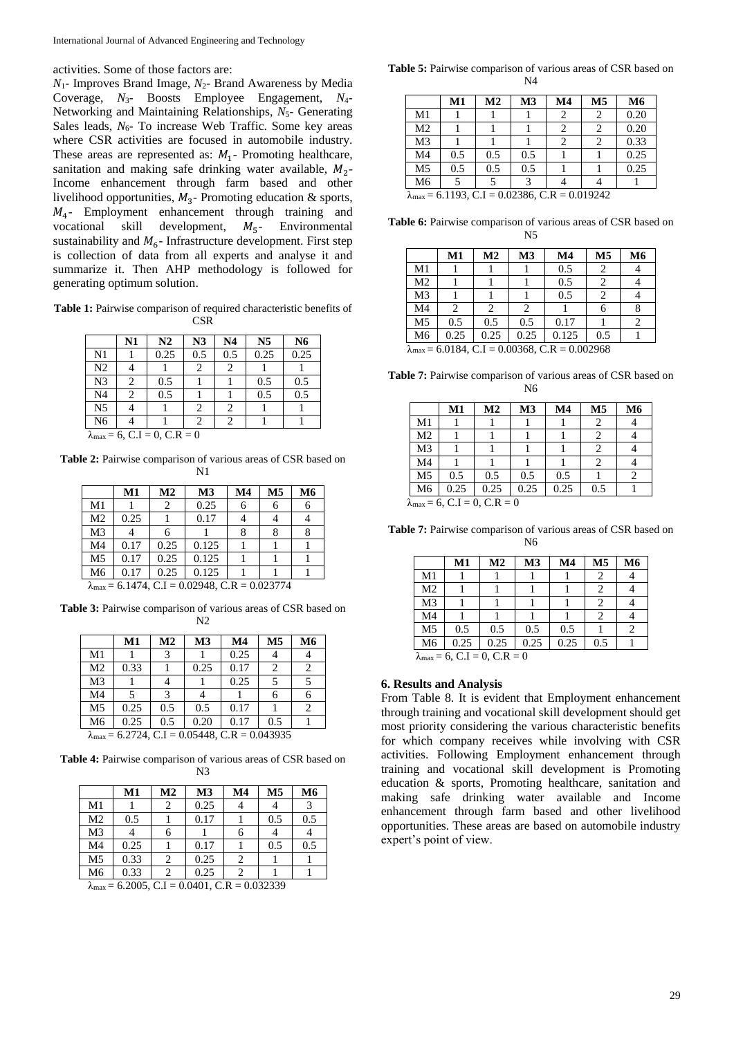activities. Some of those factors are:

*N*1- Improves Brand Image, *N*2- Brand Awareness by Media Coverage, *N*3- Boosts Employee Engagement, *N*4- Networking and Maintaining Relationships, *N<sub>5</sub>*- Generating Sales leads, *N*<sub>6</sub>- To increase Web Traffic. Some key areas where CSR activities are focused in automobile industry. These areas are represented as:  $M_1$ - Promoting healthcare, sanitation and making safe drinking water available,  $M_2$ -Income enhancement through farm based and other livelihood opportunities,  $M_3$ - Promoting education & sports, <sup>4</sup> - Employment enhancement through training and vocational skill development,  $M_5$ - Environmental sustainability and  $M<sub>6</sub>$ - Infrastructure development. First step is collection of data from all experts and analyse it and summarize it. Then AHP methodology is followed for generating optimum solution.

**Table 1:** Pairwise comparison of required characteristic benefits of **CSR** 

|                                               | N1 | N2   | N <sub>3</sub> | N <sub>4</sub> | N <sub>5</sub> | N <sub>6</sub> |  |  |
|-----------------------------------------------|----|------|----------------|----------------|----------------|----------------|--|--|
| N <sub>1</sub>                                |    | 0.25 | 0.5            | 0.5            | 0.25           | 0.25           |  |  |
| N <sub>2</sub>                                |    |      | 2              | 2              |                |                |  |  |
| N <sub>3</sub>                                | 2  | 0.5  |                |                | 0.5            | 0.5            |  |  |
| N <sub>4</sub>                                | 2  | 0.5  |                |                | 0.5            | 0.5            |  |  |
| N <sub>5</sub>                                |    |      | 2              | 2              |                |                |  |  |
| N <sub>6</sub>                                |    |      |                | 2              |                |                |  |  |
| $\lambda_{\text{max}} = 6$ , C.I = 0, C.R = 0 |    |      |                |                |                |                |  |  |

**Table 2:** Pairwise comparison of various areas of CSR based on N1

|                | M1                                                             | M <sub>2</sub> | M <sub>3</sub> | M <sub>4</sub> | M <sub>5</sub> | M6 |  |  |  |
|----------------|----------------------------------------------------------------|----------------|----------------|----------------|----------------|----|--|--|--|
| M1             |                                                                | 2              | 0.25           | 6              | 6              |    |  |  |  |
| M <sub>2</sub> | 0.25                                                           |                | 0.17           |                |                |    |  |  |  |
| M <sub>3</sub> |                                                                | 6              |                |                |                |    |  |  |  |
| M <sub>4</sub> | 0.17                                                           | 0.25           | 0.125          |                |                |    |  |  |  |
| M <sub>5</sub> | 0.17                                                           | 0.25           | 0.125          |                |                |    |  |  |  |
| M <sub>6</sub> | 0.17                                                           | 0.25           | 0.125          |                |                |    |  |  |  |
|                | $\lambda_{\text{max}}$ = 6.1474, C.I = 0.02948, C.R = 0.023774 |                |                |                |                |    |  |  |  |

**Table 3:** Pairwise comparison of various areas of CSR based on N2

|                                                                | M1   | M <sub>2</sub> | M <sub>3</sub> | $\mathbf{M}4$ | M <sub>5</sub> | M6 |  |  |
|----------------------------------------------------------------|------|----------------|----------------|---------------|----------------|----|--|--|
| M1                                                             |      | 3              |                | 0.25          |                |    |  |  |
| M <sub>2</sub>                                                 | 0.33 |                | 0.25           | 0.17          | 2              |    |  |  |
| M <sub>3</sub>                                                 |      | 4              |                | 0.25          |                |    |  |  |
| M <sub>4</sub>                                                 | 5    | 3              |                |               |                |    |  |  |
| M <sub>5</sub>                                                 | 0.25 | 0.5            | 0.5            | 0.17          |                |    |  |  |
| M6                                                             | 0.25 | 0.5            | 0.20           | 0.17          | 0.5            |    |  |  |
| $\lambda_{\text{max}}$ = 6.2724, C.I = 0.05448, C.R = 0.043935 |      |                |                |               |                |    |  |  |

**Table 4:** Pairwise comparison of various areas of CSR based on N3

|                | M1   | M <sub>2</sub> | M <sub>3</sub> | M <sub>4</sub> | M <sub>5</sub> | M6  |
|----------------|------|----------------|----------------|----------------|----------------|-----|
| M1             |      |                | 0.25           |                |                | 3   |
| M <sub>2</sub> | 0.5  |                | 0.17           |                | 0.5            | 0.5 |
| M <sub>3</sub> |      |                |                |                |                |     |
| M <sub>4</sub> | 0.25 |                | 0.17           |                | 0.5            | 0.5 |
| M <sub>5</sub> | 0.33 |                | 0.25           |                |                |     |
| M <sub>6</sub> | 0.33 |                | 0.25           |                |                |     |

 $\lambda_{\text{max}} = 6.2005$ , C.I = 0.0401, C.R = 0.032339

**Table 5:** Pairwise comparison of various areas of CSR based on N4

|                                                                | M1  | M <sub>2</sub> | M <sub>3</sub> | M <sub>4</sub> | M <sub>5</sub> | <b>M6</b> |  |  |
|----------------------------------------------------------------|-----|----------------|----------------|----------------|----------------|-----------|--|--|
| M1                                                             |     |                |                | 2              | 2              | 0.20      |  |  |
| M <sub>2</sub>                                                 |     |                |                |                | 2              | 0.20      |  |  |
| M <sub>3</sub>                                                 |     |                |                | 2              | 2              | 0.33      |  |  |
| M <sub>4</sub>                                                 | 0.5 | 0.5            | 0.5            |                |                | 0.25      |  |  |
| M <sub>5</sub>                                                 | 0.5 | 0.5            | 0.5            |                |                | 0.25      |  |  |
| M <sub>6</sub>                                                 |     |                |                |                |                |           |  |  |
| $\lambda_{\text{max}}$ = 6.1193, C.I = 0.02386, C.R = 0.019242 |     |                |                |                |                |           |  |  |

**Table 6:** Pairwise comparison of various areas of CSR based on N5

|                | M1        | M <sub>2</sub> | M <sub>3</sub> | M <sub>4</sub>                 | M <sub>5</sub> | <b>M6</b> |
|----------------|-----------|----------------|----------------|--------------------------------|----------------|-----------|
| M1             |           |                |                | 0.5                            |                |           |
| M <sub>2</sub> |           |                |                | 0.5                            |                |           |
| M <sub>3</sub> |           |                |                | 0.5                            |                |           |
| M <sub>4</sub> | 2         | 2              | 2              |                                | 6              |           |
| M <sub>5</sub> | 0.5       | 0.5            | 0.5            | 0.17                           |                |           |
| M6             | 0.25      | 0.25           | 0.25           | 0.125                          | 0.5            |           |
|                | $-6.018A$ |                |                | $C I - 0.00368 C D - 0.002068$ |                |           |

**Table 7:** Pairwise comparison of various areas of CSR based on N6

 $\lambda_{\text{max}} = 6.0184$ , C, I = 0.00368, C, R = 0.002968

|                | M1   | M <sub>2</sub> | M <sub>3</sub> | M <sub>4</sub> | M <sub>5</sub> | M6 |
|----------------|------|----------------|----------------|----------------|----------------|----|
| M1             |      |                |                |                | 2              |    |
| M <sub>2</sub> |      |                |                |                | 2              |    |
| M <sub>3</sub> |      |                |                |                | 2              |    |
| M <sub>4</sub> |      |                |                |                | 2              |    |
| M <sub>5</sub> | 0.5  | 0.5            | 0.5            | 0.5            |                | 2  |
| M <sub>6</sub> | 0.25 | 0.25           | 0.25           | 0.25           | 0.5            |    |

**Table 7:** Pairwise comparison of various areas of CSR based on N6

|                                               | M1   | M <sub>2</sub> | M <sub>3</sub> | M <sub>4</sub> | M <sub>5</sub> | M <sub>6</sub> |  |  |  |
|-----------------------------------------------|------|----------------|----------------|----------------|----------------|----------------|--|--|--|
| M1                                            |      |                |                |                | 2              |                |  |  |  |
| M <sub>2</sub>                                |      |                |                |                | 2              |                |  |  |  |
| M <sub>3</sub>                                |      |                |                |                | 2              |                |  |  |  |
| M <sub>4</sub>                                |      |                |                |                | 2              | 4              |  |  |  |
| M <sub>5</sub>                                | 0.5  | 0.5            | 0.5            | 0.5            |                | $\overline{2}$ |  |  |  |
| M <sub>6</sub>                                | 0.25 | 0.25           | 0.25           | 0.25           | 0.5            |                |  |  |  |
| $\lambda_{\text{max}} = 6$ , C.I = 0, C.R = 0 |      |                |                |                |                |                |  |  |  |

# **6. Results and Analysis**

From Table 8. It is evident that Employment enhancement through training and vocational skill development should get most priority considering the various characteristic benefits for which company receives while involving with CSR activities. Following Employment enhancement through training and vocational skill development is Promoting education & sports, Promoting healthcare, sanitation and making safe drinking water available and Income enhancement through farm based and other livelihood opportunities. These areas are based on automobile industry expert's point of view.